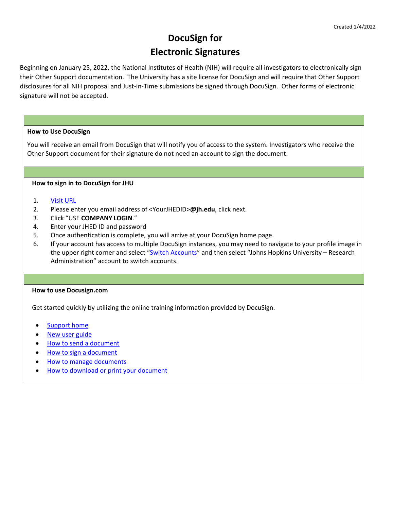# **DocuSign for Electronic Signatures**

Beginning on January 25, 2022, the National Institutes of Health (NIH) will require all investigators to electronically sign their Other Support documentation. The University has a site license for DocuSign and will require that Other Support disclosures for all NIH proposal and Just-in-Time submissions be signed through DocuSign. Other forms of electronic signature will not be accepted.

# **How to Use DocuSign**

 You will receive an email from DocuSign that will notify you of access to the system. Investigators who receive the Other Support document for their signature do not need an account to sign the document.

# **How to sign in to DocuSign for JHU**

# 1. [Visit URL](https://nam02.safelinks.protection.outlook.com/?url=https%3A%2F%2Faccount.docusign.com%2Forganizations%2Fce459e4b-cf24-483e-81fc-3ff17d2dedb5%2Fsaml2%2Flogin%2Fsp%2F223c7b5b-a0e9-46fa-826b-165c86110b22&data=04%7C01%7Caschaff6%40jhu.edu%7Cad009d5291f947e1176c08d9d1418086%7C9fa4f438b1e6473b803f86f8aedf0dec%7C0%7C0%7C637770901519649856%7CUnknown%7CTWFpbGZsb3d8eyJWIjoiMC4wLjAwMDAiLCJQIjoiV2luMzIiLCJBTiI6Ik1haWwiLCJXVCI6Mn0%3D%7C3000&sdata=r7TNUFt9O1a%2Bc49Kk%2FlBAJ1zV56obzgxAyY2P%2BZrJNY%3D&reserved=0)

- 2. Please enter you email address of <YourJHEDID>**@jh.edu**, click next.
- 3. Click "USE **COMPANY LOGIN**."
- 4. Enter your JHED ID and password
- 5. Once authentication is complete, you will arrive at your DocuSign home page.
- 6. If your account has access to multiple DocuSign instances, you may need to navigate to your profile image in the upper right corner and select ["Switch Accounts"](https://support.docusign.com/en/guides/ndse-user-guide-switch-accounts) and then select "Johns Hopkins University – Research Administration" account to switch accounts.

# **How to use Docusign.com**

Get started quickly by utilizing the online training information provided by DocuSign.

- [Support home](https://support.docusign.com/en/home)
- [New user guide](https://support.docusign.com/en/guides/ndse-user-guide)
- **[How to send a document](https://support.docusign.com/en/articles/How-do-I-get-signatures-on-a-document-New-DocuSign-Experience)**
- [How to sign a document](https://support.docusign.com/en/articles/How-do-I-sign-a-DocuSign-document-Basic-Signing)
- [How to manage documents](https://support.docusign.com/en/guides/ndse-user-guide-managing-documents)
- [How to download or print your document](https://support.docusign.com/en/guides/ndse-user-guide-download-or-print-your-document)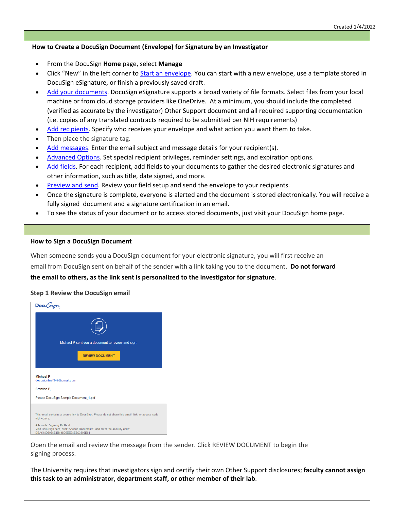# **How to Create a DocuSign Document (Envelope) for Signature by an Investigator**

- From the DocuSign **Home** page, select **Manage**
- Click "New" in the left corner to [Start an envelope.](https://docs.docusign.com/supportdocs/ndse-help/Content/start-a-document.htm#gso1578456465211) You can start with a new envelope, use a template stored in DocuSign eSignature, or finish a previously saved draft.
- [Add your documents.](https://docs.docusign.com/supportdocs/ndse-help/Content/add-files.htm#crk1578456412036) DocuSign eSignature supports a broad variety of file formats. Select files from your local machine or from cloud storage providers like OneDrive. At a minimum, you should include the completed (verified as accurate by the investigator) Other Support document and all required supporting documentation (i.e. copies of any translated contracts required to be submitted per NIH requirements)
- [Add recipients.](https://docs.docusign.com/supportdocs/ndse-help/Content/AddRecipients.htm#jar1578456351432) Specify who receives your envelope and what action you want them to take.
- Then place the signature tag.
- [Add messages.](https://docs.docusign.com/supportdocs/ndse-help/Content/AddMsgs.htm#mpf1578456350875) Enter the email subject and message details for your recipient(s).
- [Advanced Options.](https://docs.docusign.com/supportdocs/ndse-help/Content/AdvDocOpt.htm#tfm1578456367923) Set special recipient privileges, reminder settings, and expiration options.
- [Add fields.](https://docs.docusign.com/supportdocs/ndse-help/Content/add-fields.htm#odn1578456409392) For each recipient, add fields to your documents to gather the desired electronic signatures and other information, such as title, date signed, and more.
- [Preview and send.](https://docs.docusign.com/supportdocs/ndse-help/Content/SendDocs.htm#oeg1578456408976) Review your field setup and send the envelope to your recipients.
- Once the signature is complete, everyone is alerted and the document is stored electronically. You will receive a fully signed document and a signature certification in an email.
- To see the status of your document or to access stored documents, just visit your DocuSign home page.

#### **How to Sign a DocuSign Document**

When someone sends you a DocuSign document for your electronic signature, you will first receive an email from DocuSign sent on behalf of the sender with a link taking you to the document. **Do not forward the email to others, as the link sent is personalized to the investigator for signature**.

#### **Step 1 Review the DocuSign email**

| Docu Sign                                                                                                                                          |  |
|----------------------------------------------------------------------------------------------------------------------------------------------------|--|
|                                                                                                                                                    |  |
| Michael P sent you a document to review and sign.                                                                                                  |  |
| <b>REVIEW DOCUMENT</b>                                                                                                                             |  |
| <b>Michael P</b><br>docusigntest342@gmail.com                                                                                                      |  |
| Brandon P.                                                                                                                                         |  |
| Please DocuSign Sample Document 1.pdf                                                                                                              |  |
| This email contains a secure link to DocuSign. Please do not share this email, link, or access code<br>with others                                 |  |
| <b>Alternate Signing Method</b><br>Visit DocuSign.com, click 'Access Documents', and enter the security code:<br>DBA514D9964E4B498D5EE24E5C3306E81 |  |

Open the email and review the message from the sender. Click REVIEW DOCUMENT to begin the signing process.

The University requires that investigators sign and certify their own Other Support disclosures; **faculty cannot assign this task to an administrator, department staff, or other member of their lab**.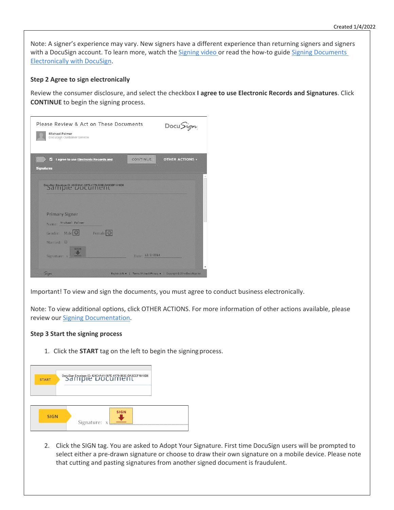Note: A signer's experience may vary. New signers have a different experience than returning signers and signers with a DocuSign account. To learn more, watch th[e Signing video o](https://fast.wistia.net/embed/iframe/lm7j5njxic)r read the how-to guide Signing Documents [Electronically with DocuSign.](https://support.docusign.com/guides/signer-guide-signing-for-signers)

## **Step 2 Agree to sign electronically**

Review the consumer disclosure, and select the checkbox **I agree to use Electronic Records and Signatures**. Click **CONTINUE** to begin the signing process.

| Please Review & Act on These Documents<br>Michael Palmer<br>DocuSign Customer Service  |                 | DocuSign                                                                   |
|----------------------------------------------------------------------------------------|-----------------|----------------------------------------------------------------------------|
| I agree to use Electronic Records and<br>$\checkmark$<br><b>Signatures</b>             | <b>CONTINUE</b> | <b>OTHER ACTIONS v</b>                                                     |
| DocuSign Envelope ID: 424E4A41-987E-4179-883E-DA3CEF1818D8<br>Sample Document          |                 |                                                                            |
| <b>Primary Signer</b><br>Name: Michael Palmer<br>Gender: Male O Female O<br>Married: 2 |                 |                                                                            |
| <b>SIGN</b><br>Signature: x<br>Sign                                                    | Date: 12/2/2014 | English (US) v   Terms Of Use & Privacy v   Copyright © 2014 DocuSign Inc. |

Important! To view and sign the documents, you must agree to conduct business electronically.

Note: To view additional options, click OTHER ACTIONS. For more information of other actions available, please review our [Signing Documentation.](https://support.docusign.com/guides/signer-guide-signing-for-signers)

## **Step 3 Start the signing process**

1. Click the **START** tag on the left to begin the signing process.

| <b>START</b> |                 |
|--------------|-----------------|
|              | <br><b>SIGN</b> |
| <b>SIGN</b>  | Signature: x    |

2. Click the SIGN tag. You are asked to Adopt Your Signature. First time DocuSign users will be prompted to select either a pre-drawn signature or choose to draw their own signature on a mobile device. Please note that cutting and pasting signatures from another signed document is fraudulent.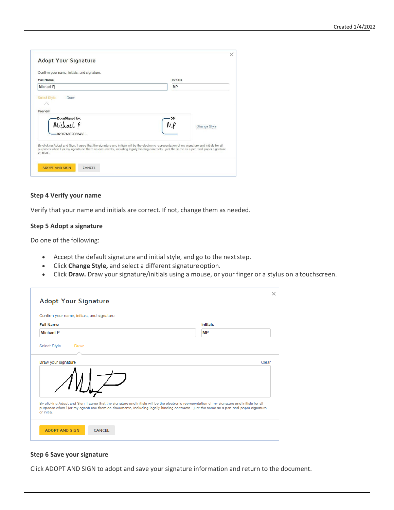| Confirm your name, initials, and signature. |                                                                                                                                                                                                                                                                                         |
|---------------------------------------------|-----------------------------------------------------------------------------------------------------------------------------------------------------------------------------------------------------------------------------------------------------------------------------------------|
| <b>Full Name</b>                            | Initials                                                                                                                                                                                                                                                                                |
| <b>Michael P</b>                            | <b>MP</b>                                                                                                                                                                                                                                                                               |
| 02367A3F9D33485                             | Change Style                                                                                                                                                                                                                                                                            |
| or initial                                  | By clicking Adopt and Sign, I agree that the signature and initials will be the electronic representation of my signature and initials for all<br>purposes when I (or my agent) use them on documents, including legally binding contracts - just the same as a pen-and-paper signature |

#### **Step 4 Verify your name**

Verify that your name and initials are correct. If not, change them as needed.

## **Step 5 Adopt a signature**

Do one of the following:

- Accept the default signature and initial style, and go to the nextstep.
- Click **Change Style,** and select a different signatureoption.
- Click **Draw.** Draw your signature/initials using a mouse, or your finger or a stylus on a touchscreen.

| Confirm your name, initials, and signature. |                                                                                                                                                                                                                                                                                         |       |
|---------------------------------------------|-----------------------------------------------------------------------------------------------------------------------------------------------------------------------------------------------------------------------------------------------------------------------------------------|-------|
| <b>Full Name</b>                            | <b>Initials</b>                                                                                                                                                                                                                                                                         |       |
| <b>Michael P</b>                            | <b>MP</b>                                                                                                                                                                                                                                                                               |       |
| Select Style<br><b>Draw</b>                 |                                                                                                                                                                                                                                                                                         |       |
| Draw your signature                         |                                                                                                                                                                                                                                                                                         | Clear |
|                                             | By clicking Adopt and Sign, I agree that the signature and initials will be the electronic representation of my signature and initials for all<br>purposes when I (or my agent) use them on documents, including legally binding contracts - just the same as a pen-and-paper signature |       |

## **Step 6 Save your signature**

Click ADOPT AND SIGN to adopt and save your signature information and return to the document.